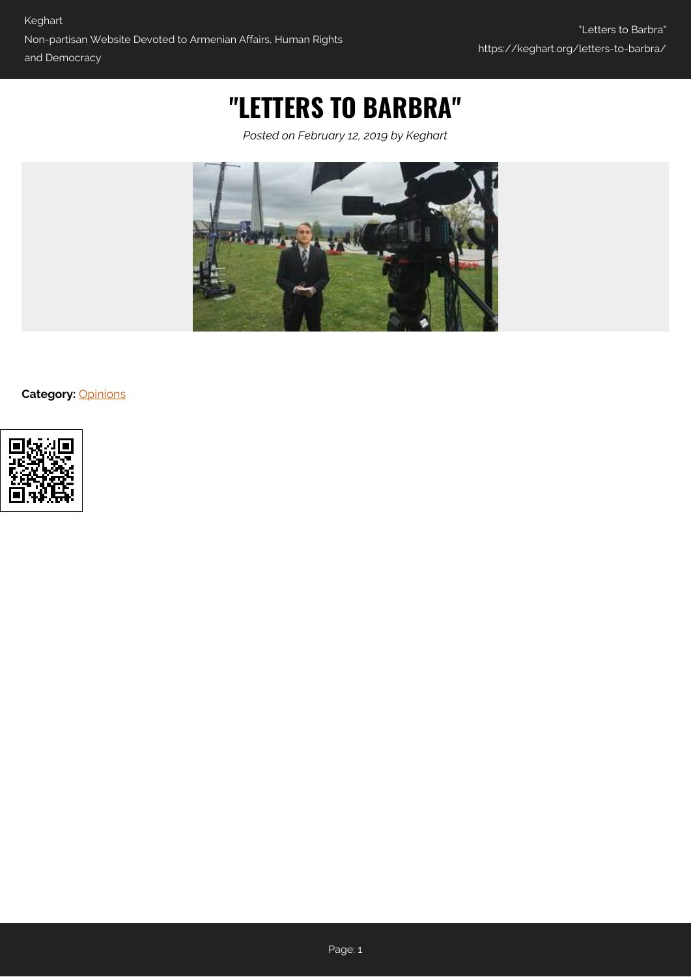## **"LETTERS TO BARBRA"**

*Posted on February 12, 2019 by Keghart*



**Category:** [Opinions](https://keghart.org/category/opinions/)

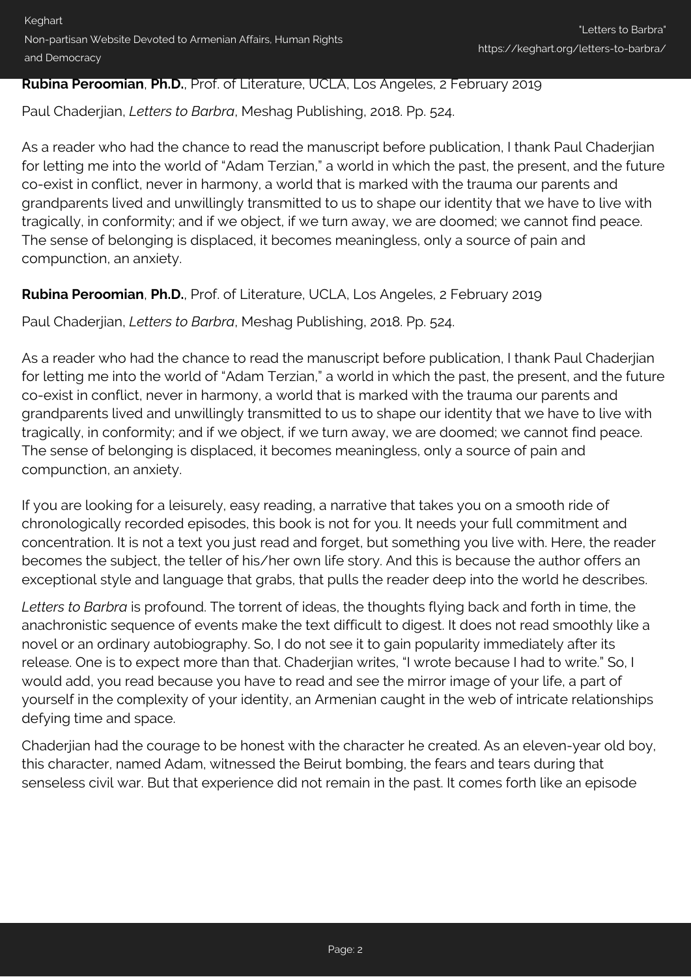## **Rubina Peroomian**, **Ph.D.**, Prof. of Literature, UCLA, Los Angeles, 2 February 2019

Paul Chaderjian, *Letters to Barbra*, Meshag Publishing, 2018. Pp. 524.

As a reader who had the chance to read the manuscript before publication, I thank Paul Chaderjian for letting me into the world of "Adam Terzian," a world in which the past, the present, and the future co-exist in conflict, never in harmony, a world that is marked with the trauma our parents and grandparents lived and unwillingly transmitted to us to shape our identity that we have to live with tragically, in conformity; and if we object, if we turn away, we are doomed; we cannot find peace. The sense of belonging is displaced, it becomes meaningless, only a source of pain and compunction, an anxiety.

## **Rubina Peroomian**, **Ph.D.**, Prof. of Literature, UCLA, Los Angeles, 2 February 2019

Paul Chaderjian, *Letters to Barbra*, Meshag Publishing, 2018. Pp. 524.

As a reader who had the chance to read the manuscript before publication, I thank Paul Chaderjian for letting me into the world of "Adam Terzian," a world in which the past, the present, and the future co-exist in conflict, never in harmony, a world that is marked with the trauma our parents and grandparents lived and unwillingly transmitted to us to shape our identity that we have to live with tragically, in conformity; and if we object, if we turn away, we are doomed; we cannot find peace. The sense of belonging is displaced, it becomes meaningless, only a source of pain and compunction, an anxiety.

If you are looking for a leisurely, easy reading, a narrative that takes you on a smooth ride of chronologically recorded episodes, this book is not for you. It needs your full commitment and concentration. It is not a text you just read and forget, but something you live with. Here, the reader becomes the subject, the teller of his/her own life story. And this is because the author offers an exceptional style and language that grabs, that pulls the reader deep into the world he describes.

*Letters to Barbra* is profound. The torrent of ideas, the thoughts flying back and forth in time, the anachronistic sequence of events make the text difficult to digest. It does not read smoothly like a novel or an ordinary autobiography. So, I do not see it to gain popularity immediately after its release. One is to expect more than that. Chaderjian writes, "I wrote because I had to write." So, I would add, you read because you have to read and see the mirror image of your life, a part of yourself in the complexity of your identity, an Armenian caught in the web of intricate relationships defying time and space.

Chaderjian had the courage to be honest with the character he created. As an eleven-year old boy, this character, named Adam, witnessed the Beirut bombing, the fears and tears during that senseless civil war. But that experience did not remain in the past. It comes forth like an episode